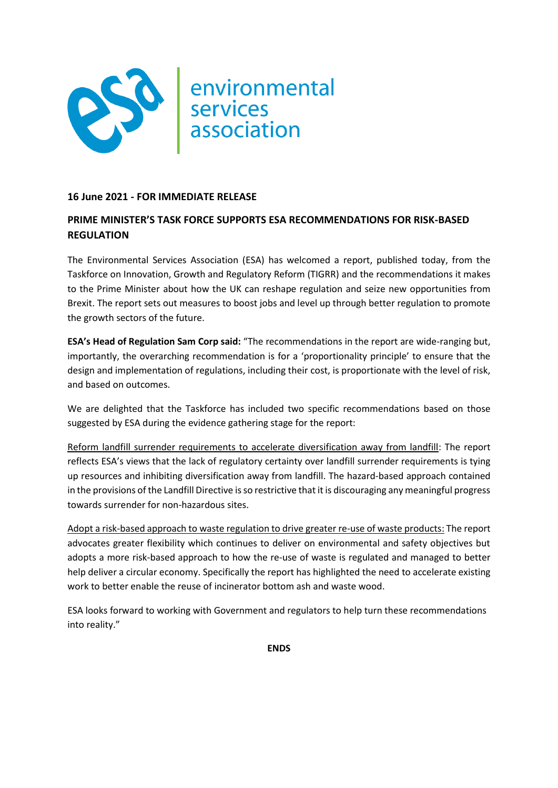

## **16 June 2021 - FOR IMMEDIATE RELEASE**

## **PRIME MINISTER'S TASK FORCE SUPPORTS ESA RECOMMENDATIONS FOR RISK-BASED REGULATION**

The Environmental Services Association (ESA) has welcomed a report, published today, from the Taskforce on Innovation, Growth and Regulatory Reform (TIGRR) and the recommendations it makes to the Prime Minister about how the UK can reshape regulation and seize new opportunities from Brexit. The report sets out measures to boost jobs and level up through better regulation to promote the growth sectors of the future.

**ESA's Head of Regulation Sam Corp said:** "The recommendations in the report are wide-ranging but, importantly, the overarching recommendation is for a 'proportionality principle' to ensure that the design and implementation of regulations, including their cost, is proportionate with the level of risk, and based on outcomes.

We are delighted that the Taskforce has included two specific recommendations based on those suggested by ESA during the evidence gathering stage for the report:

Reform landfill surrender requirements to accelerate diversification away from landfill: The report reflects ESA's views that the lack of regulatory certainty over landfill surrender requirements is tying up resources and inhibiting diversification away from landfill. The hazard-based approach contained in the provisions of the Landfill Directive is so restrictive that it is discouraging any meaningful progress towards surrender for non-hazardous sites.

Adopt a risk-based approach to waste regulation to drive greater re-use of waste products: The report advocates greater flexibility which continues to deliver on environmental and safety objectives but adopts a more risk-based approach to how the re-use of waste is regulated and managed to better help deliver a circular economy. Specifically the report has highlighted the need to accelerate existing work to better enable the reuse of incinerator bottom ash and waste wood.

ESA looks forward to working with Government and regulators to help turn these recommendations into reality."

**ENDS**